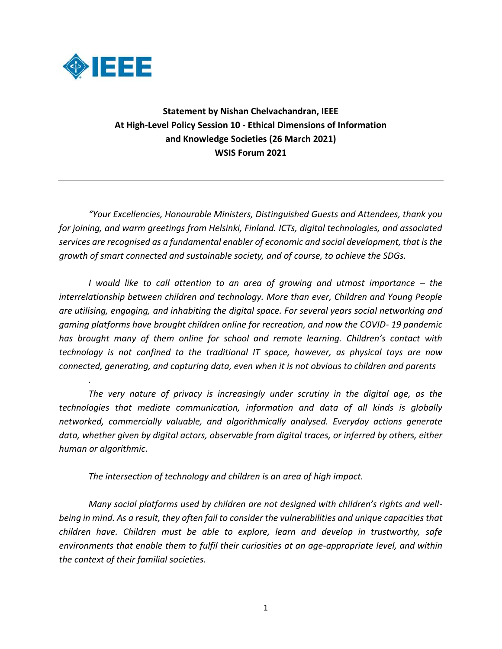

*.* 

**Statement by Nishan Chelvachandran, IEEE At High-Level Policy Session 10 - Ethical Dimensions of Information and Knowledge Societies (26 March 2021) WSIS Forum 2021**

*"Your Excellencies, Honourable Ministers, Distinguished Guests and Attendees, thank you for joining, and warm greetings from Helsinki, Finland. ICTs, digital technologies, and associated services are recognised as a fundamental enabler of economic and social development, that is the growth of smart connected and sustainable society, and of course, to achieve the SDGs.* 

*I* would like to call attention to an area of growing and utmost importance – the *interrelationship between children and technology. More than ever, Children and Young People are utilising, engaging, and inhabiting the digital space. For several years social networking and gaming platforms have brought children online for recreation, and now the COVID- 19 pandemic has brought many of them online for school and remote learning. Children's contact with technology is not confined to the traditional IT space, however, as physical toys are now connected, generating, and capturing data, even when it is not obvious to children and parents*

*The very nature of privacy is increasingly under scrutiny in the digital age, as the technologies that mediate communication, information and data of all kinds is globally networked, commercially valuable, and algorithmically analysed. Everyday actions generate data, whether given by digital actors, observable from digital traces, or inferred by others, either human or algorithmic.* 

*The intersection of technology and children is an area of high impact.* 

*Many social platforms used by children are not designed with children's rights and wellbeing in mind. As a result, they often fail to consider the vulnerabilities and unique capacities that children have. Children must be able to explore, learn and develop in trustworthy, safe environments that enable them to fulfil their curiosities at an age-appropriate level, and within the context of their familial societies.*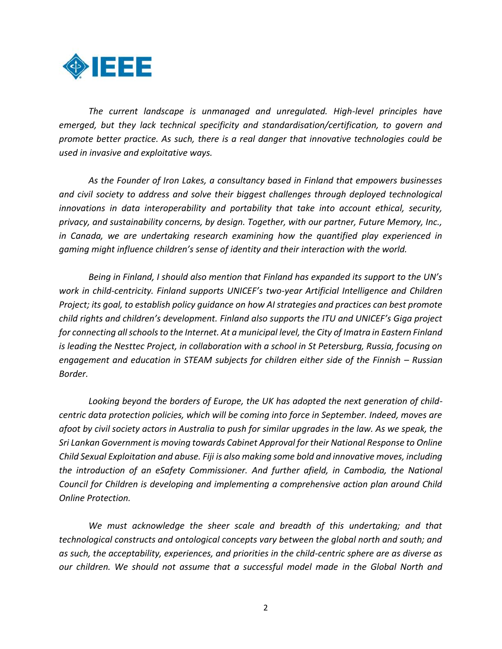

*The current landscape is unmanaged and unregulated. High-level principles have emerged, but they lack technical specificity and standardisation/certification, to govern and promote better practice. As such, there is a real danger that innovative technologies could be used in invasive and exploitative ways.* 

*As the Founder of Iron Lakes, a consultancy based in Finland that empowers businesses and civil society to address and solve their biggest challenges through deployed technological innovations in data interoperability and portability that take into account ethical, security, privacy, and sustainability concerns, by design. Together, with our partner, Future Memory, Inc., in Canada, we are undertaking research examining how the quantified play experienced in gaming might influence children's sense of identity and their interaction with the world.* 

*Being in Finland, I should also mention that Finland has expanded its support to the UN's work in child-centricity. Finland supports UNICEF's two-year Artificial Intelligence and Children Project; its goal, to establish policy guidance on how AI strategies and practices can best promote child rights and children's development. Finland also supports the ITU and UNICEF's Giga project for connecting all schools to the Internet. At a municipal level, the City of Imatra in Eastern Finland is leading the Nesttec Project, in collaboration with a school in St Petersburg, Russia, focusing on engagement and education in STEAM subjects for children either side of the Finnish – Russian Border.*

*Looking beyond the borders of Europe, the UK has adopted the next generation of childcentric data protection policies, which will be coming into force in September. Indeed, moves are afoot by civil society actors in Australia to push for similar upgrades in the law. As we speak, the Sri Lankan Government is moving towards Cabinet Approval for their National Response to Online Child Sexual Exploitation and abuse. Fiji is also making some bold and innovative moves, including the introduction of an eSafety Commissioner. And further afield, in Cambodia, the National Council for Children is developing and implementing a comprehensive action plan around Child Online Protection.* 

*We must acknowledge the sheer scale and breadth of this undertaking; and that technological constructs and ontological concepts vary between the global north and south; and as such, the acceptability, experiences, and priorities in the child-centric sphere are as diverse as our children. We should not assume that a successful model made in the Global North and*